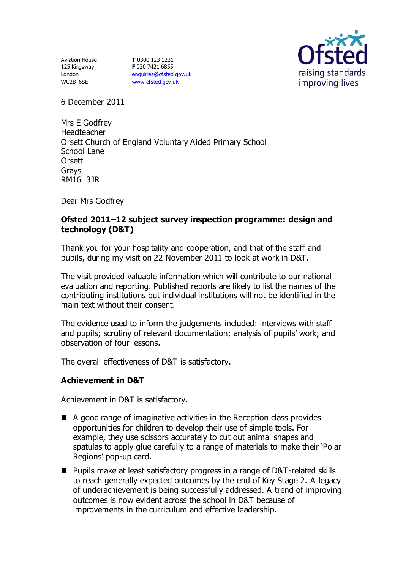Aviation House 125 Kingsway London WC2B 6SE

**T** 0300 123 1231 **F** 020 7421 6855 [enquiries@ofsted.gov.uk](mailto:enquiries@ofsted.gov.uk) [www.ofsted.gov.uk](http://www.ofsted.gov.uk/)



6 December 2011

Mrs E Godfrey Headteacher Orsett Church of England Voluntary Aided Primary School School Lane **Orsett** Grays RM16 3JR

Dear Mrs Godfrey

## **Ofsted 2011–12 subject survey inspection programme: design and technology (D&T)**

Thank you for your hospitality and cooperation, and that of the staff and pupils, during my visit on 22 November 2011 to look at work in D&T.

The visit provided valuable information which will contribute to our national evaluation and reporting. Published reports are likely to list the names of the contributing institutions but individual institutions will not be identified in the main text without their consent.

The evidence used to inform the judgements included: interviews with staff and pupils; scrutiny of relevant documentation; analysis of pupils' work; and observation of four lessons.

The overall effectiveness of D&T is satisfactory.

### **Achievement in D&T**

Achievement in D&T is satisfactory.

- A good range of imaginative activities in the Reception class provides opportunities for children to develop their use of simple tools. For example, they use scissors accurately to cut out animal shapes and spatulas to apply glue carefully to a range of materials to make their 'Polar Regions' pop-up card.
- Pupils make at least satisfactory progress in a range of D&T-related skills to reach generally expected outcomes by the end of Key Stage 2. A legacy of underachievement is being successfully addressed. A trend of improving outcomes is now evident across the school in D&T because of improvements in the curriculum and effective leadership.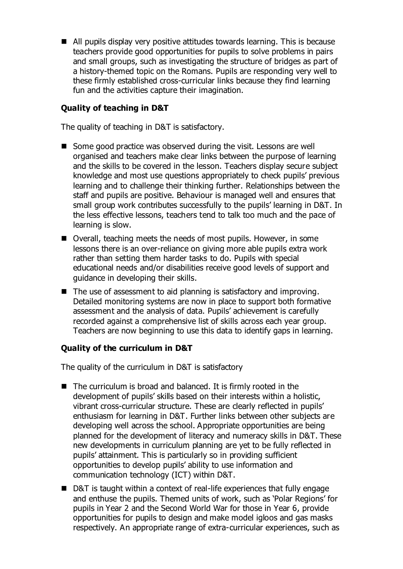All pupils display very positive attitudes towards learning. This is because teachers provide good opportunities for pupils to solve problems in pairs and small groups, such as investigating the structure of bridges as part of a history-themed topic on the Romans. Pupils are responding very well to these firmly established cross-curricular links because they find learning fun and the activities capture their imagination.

# **Quality of teaching in D&T**

The quality of teaching in D&T is satisfactory.

- Some good practice was observed during the visit. Lessons are well organised and teachers make clear links between the purpose of learning and the skills to be covered in the lesson. Teachers display secure subject knowledge and most use questions appropriately to check pupils' previous learning and to challenge their thinking further. Relationships between the staff and pupils are positive. Behaviour is managed well and ensures that small group work contributes successfully to the pupils' learning in D&T. In the less effective lessons, teachers tend to talk too much and the pace of learning is slow.
- Overall, teaching meets the needs of most pupils. However, in some lessons there is an over-reliance on giving more able pupils extra work rather than setting them harder tasks to do. Pupils with special educational needs and/or disabilities receive good levels of support and guidance in developing their skills.
- $\blacksquare$  The use of assessment to aid planning is satisfactory and improving. Detailed monitoring systems are now in place to support both formative assessment and the analysis of data. Pupils' achievement is carefully recorded against a comprehensive list of skills across each year group. Teachers are now beginning to use this data to identify gaps in learning.

# **Quality of the curriculum in D&T**

The quality of the curriculum in D&T is satisfactory

- The curriculum is broad and balanced. It is firmly rooted in the development of pupils' skills based on their interests within a holistic, vibrant cross-curricular structure. These are clearly reflected in pupils' enthusiasm for learning in D&T. Further links between other subjects are developing well across the school. Appropriate opportunities are being planned for the development of literacy and numeracy skills in D&T. These new developments in curriculum planning are yet to be fully reflected in pupils' attainment. This is particularly so in providing sufficient opportunities to develop pupils' ability to use information and communication technology (ICT) within D&T.
- D&T is taught within a context of real-life experiences that fully engage and enthuse the pupils. Themed units of work, such as 'Polar Regions' for pupils in Year 2 and the Second World War for those in Year 6, provide opportunities for pupils to design and make model igloos and gas masks respectively. An appropriate range of extra-curricular experiences, such as